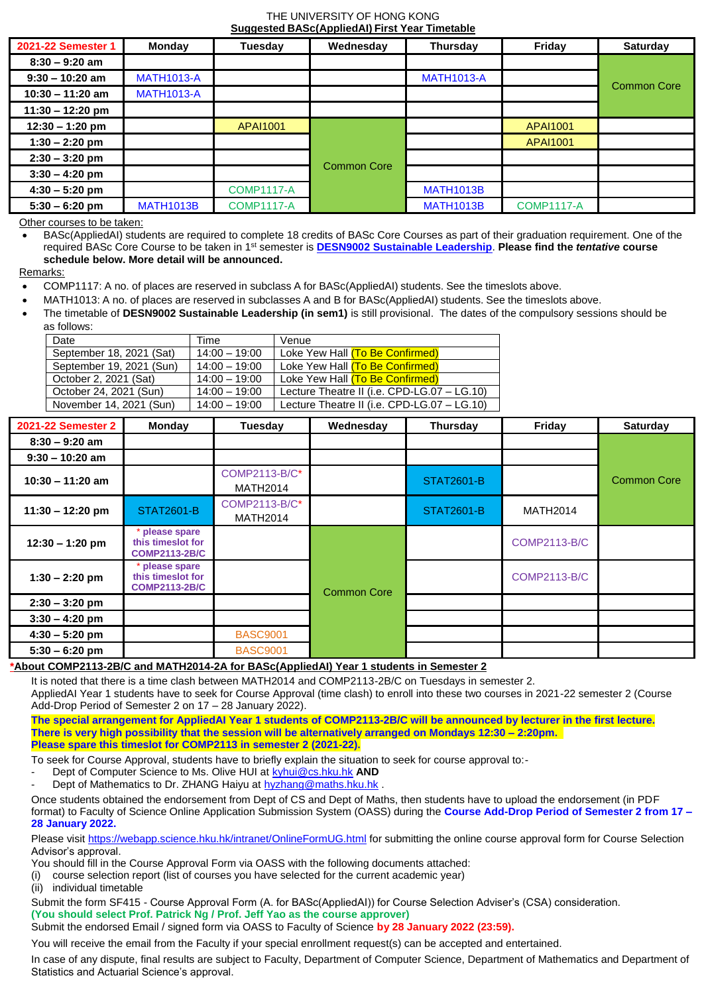## THE UNIVERSITY OF HONG KONG **Suggested BASc(AppliedAI) First Year Timetable**

| 2021-22 Semester 1 | <b>Monday</b>     | Tuesday           | Wednesday          | Thursday          | Friday            | Saturday           |
|--------------------|-------------------|-------------------|--------------------|-------------------|-------------------|--------------------|
| $8:30 - 9:20$ am   |                   |                   |                    |                   |                   |                    |
| $9:30 - 10:20$ am  | <b>MATH1013-A</b> |                   |                    | <b>MATH1013-A</b> |                   |                    |
| $10:30 - 11:20$ am | <b>MATH1013-A</b> |                   |                    |                   |                   | <b>Common Core</b> |
| $11:30 - 12:20$ pm |                   |                   |                    |                   |                   |                    |
| $12:30 - 1:20$ pm  |                   | APAI1001          |                    |                   | <b>APAI1001</b>   |                    |
| $1:30 - 2:20$ pm   |                   |                   |                    |                   | <b>APAI1001</b>   |                    |
| $2:30 - 3:20$ pm   |                   |                   | <b>Common Core</b> |                   |                   |                    |
| $3:30 - 4:20$ pm   |                   |                   |                    |                   |                   |                    |
| $4:30 - 5:20$ pm   |                   | <b>COMP1117-A</b> |                    | <b>MATH1013B</b>  |                   |                    |
| $5:30 - 6:20$ pm   | <b>MATH1013B</b>  | <b>COMP1117-A</b> |                    | <b>MATH1013B</b>  | <b>COMP1117-A</b> |                    |

Other courses to be taken:

 BASc(AppliedAI) students are required to complete 18 credits of BASc Core Courses as part of their graduation requirement. One of the required BASc Core Course to be taken in 1st semester is **DESN9002 Sustainable Leadership**. **Please find the** *tentative* **course schedule below. More detail will be announced.**

Remarks:

- COMP1117: A no. of places are reserved in subclass A for BASc(AppliedAI) students. See the timeslots above.
- MATH1013: A no. of places are reserved in subclasses A and B for BASc(AppliedAI) students. See the timeslots above.
- The timetable of **DESN9002 Sustainable Leadership (in sem1)** is still provisional. The dates of the compulsory sessions should be as follows:

| Date                     | Time            | Venue                                       |  |  |  |  |  |
|--------------------------|-----------------|---------------------------------------------|--|--|--|--|--|
| September 18, 2021 (Sat) | $14:00 - 19:00$ | Loke Yew Hall (To Be Confirmed)             |  |  |  |  |  |
| September 19, 2021 (Sun) | $14:00 - 19:00$ | Loke Yew Hall (To Be Confirmed)             |  |  |  |  |  |
| October 2, 2021 (Sat)    | $14:00 - 19:00$ | Loke Yew Hall (To Be Confirmed)             |  |  |  |  |  |
| October 24, 2021 (Sun)   | $14:00 - 19:00$ | Lecture Theatre II (i.e. CPD-LG.07 - LG.10) |  |  |  |  |  |
| November 14, 2021 (Sun)  | $14:00 - 19:00$ | Lecture Theatre II (i.e. CPD-LG.07 - LG.10) |  |  |  |  |  |

| 2021-22 Semester 2 | Monday                                                    | Tuesday                                 | Wednesday          | Thursday          | Friday              | Saturday           |
|--------------------|-----------------------------------------------------------|-----------------------------------------|--------------------|-------------------|---------------------|--------------------|
| $8:30 - 9:20$ am   |                                                           |                                         |                    |                   |                     |                    |
| $9:30 - 10:20$ am  |                                                           |                                         |                    |                   |                     |                    |
| $10:30 - 11:20$ am |                                                           | <b>COMP2113-B/C*</b><br><b>MATH2014</b> |                    | <b>STAT2601-B</b> |                     | <b>Common Core</b> |
| $11:30 - 12:20$ pm | <b>STAT2601-B</b>                                         | COMP2113-B/C*<br><b>MATH2014</b>        |                    | <b>STAT2601-B</b> | <b>MATH2014</b>     |                    |
| $12:30 - 1:20$ pm  | please spare<br>this timeslot for<br><b>COMP2113-2B/C</b> |                                         |                    |                   | <b>COMP2113-B/C</b> |                    |
| $1:30 - 2:20$ pm   | please spare<br>this timeslot for<br><b>COMP2113-2B/C</b> |                                         | <b>Common Core</b> |                   | <b>COMP2113-B/C</b> |                    |
| $2:30 - 3:20$ pm   |                                                           |                                         |                    |                   |                     |                    |
| $3:30 - 4:20$ pm   |                                                           |                                         |                    |                   |                     |                    |
| $4:30 - 5:20$ pm   |                                                           | <b>BASC9001</b>                         |                    |                   |                     |                    |
| $5:30 - 6:20$ pm   |                                                           | <b>BASC9001</b>                         |                    |                   |                     |                    |

## **\*About COMP2113-2B/C and MATH2014-2A for BASc(AppliedAI) Year 1 students in Semester 2**

It is noted that there is a time clash between MATH2014 and COMP2113-2B/C on Tuesdays in semester 2. AppliedAI Year 1 students have to seek for Course Approval (time clash) to enroll into these two courses in 2021-22 semester 2 (Course Add-Drop Period of Semester 2 on 17 – 28 January 2022).

**The special arrangement for AppliedAI Year 1 students of COMP2113-2B/C will be announced by lecturer in the first lecture. There is very high possibility that the session will be alternatively arranged on Mondays 12:30 – 2:20pm. Please spare this timeslot for COMP2113 in semester 2 (2021-22).**

To seek for Course Approval, students have to briefly explain the situation to seek for course approval to:-

- Dept of Computer Science to Ms. Olive HUI at **kyhui@cs.hku.hk AND**
- Dept of Mathematics to Dr. ZHANG Haiyu a[t hyzhang@maths.hku.hk](mailto:hyzhang@maths.hku.hk).

Once students obtained the endorsement from Dept of CS and Dept of Maths, then students have to upload the endorsement (in PDF format) to Faculty of Science Online Application Submission System (OASS) during the **Course Add-Drop Period of Semester 2 from 17 – 28 January 2022.**

Please visi[t https://webapp.science.hku.hk/intranet/OnlineFormUG.html](https://webapp.science.hku.hk/intranet/OnlineFormUG.html) for submitting the online course approval form for Course Selection Advisor's approval.

You should fill in the Course Approval Form via OASS with the following documents attached:

(i) course selection report (list of courses you have selected for the current academic year)

(ii) individual timetable

Submit the form SF415 - Course Approval Form (A. for BASc(AppliedAI)) for Course Selection Adviser's (CSA) consideration. **(You should select Prof. Patrick Ng / Prof. Jeff Yao as the course approver)**

Submit the endorsed Email / signed form via OASS to Faculty of Science **by 28 January 2022 (23:59).**

You will receive the email from the Faculty if your special enrollment request(s) can be accepted and entertained.

In case of any dispute, final results are subject to Faculty, Department of Computer Science, Department of Mathematics and Department of Statistics and Actuarial Science's approval.